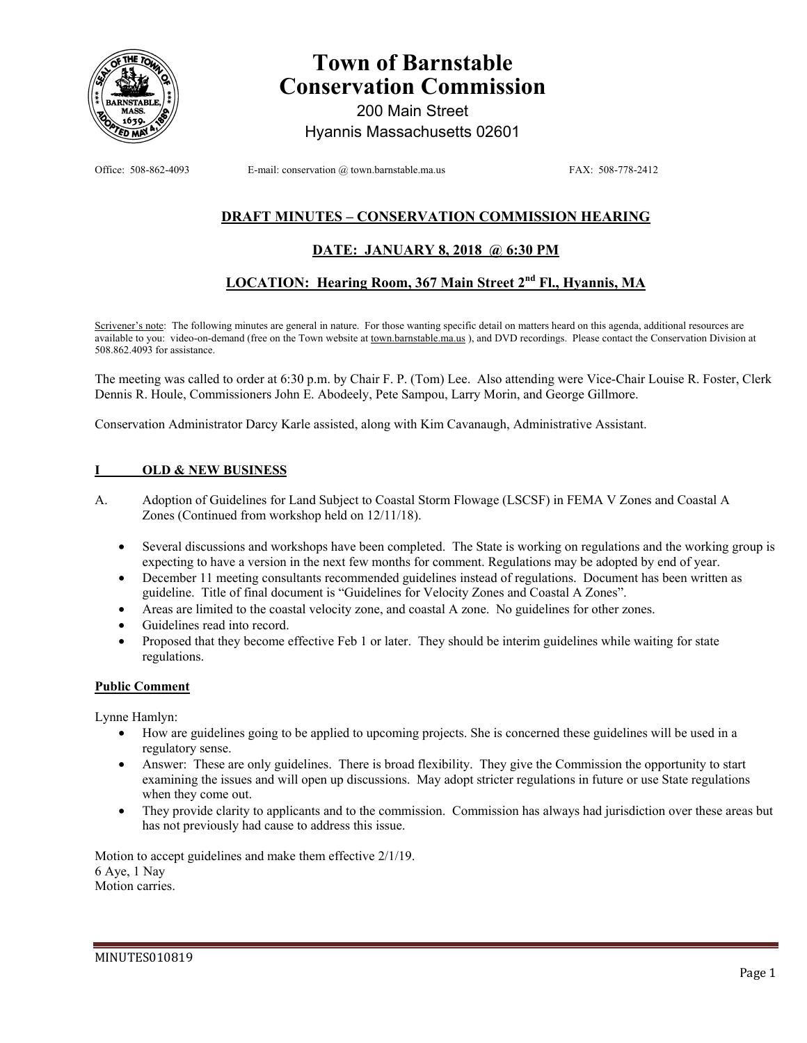

# **Town of Barnstable Conservation Commission**

200 Main Street Hyannis Massachusetts 02601

Office: 508-862-4093 E-mail: conservation @ town.barnstable.ma.us FAX: 508-778-2412

# **DRAFT MINUTES – CONSERVATION COMMISSION HEARING**

## **DATE: JANUARY 8, 2018 @ 6:30 PM**

## **LOCATION: Hearing Room, 367 Main Street 2nd Fl., Hyannis, MA**

Scrivener's note: The following minutes are general in nature. For those wanting specific detail on matters heard on this agenda, additional resources are available to you: video-on-demand (free on the Town website at town.barnstable.ma.us), and DVD recordings. Please contact the Conservation Division at 508.862.4093 for assistance.

The meeting was called to order at 6:30 p.m. by Chair F. P. (Tom) Lee. Also attending were Vice-Chair Louise R. Foster, Clerk Dennis R. Houle, Commissioners John E. Abodeely, Pete Sampou, Larry Morin, and George Gillmore.

Conservation Administrator Darcy Karle assisted, along with Kim Cavanaugh, Administrative Assistant.

## **I OLD & NEW BUSINESS**

- A. Adoption of Guidelines for Land Subject to Coastal Storm Flowage (LSCSF) in FEMA V Zones and Coastal A Zones (Continued from workshop held on 12/11/18).
	- Several discussions and workshops have been completed. The State is working on regulations and the working group is expecting to have a version in the next few months for comment. Regulations may be adopted by end of year.
	- December 11 meeting consultants recommended guidelines instead of regulations. Document has been written as guideline. Title of final document is "Guidelines for Velocity Zones and Coastal A Zones".
	- Areas are limited to the coastal velocity zone, and coastal A zone. No guidelines for other zones.
	- Guidelines read into record.
	- Proposed that they become effective Feb 1 or later. They should be interim guidelines while waiting for state regulations.

#### **Public Comment**

Lynne Hamlyn:

- How are guidelines going to be applied to upcoming projects. She is concerned these guidelines will be used in a regulatory sense.
- Answer: These are only guidelines. There is broad flexibility. They give the Commission the opportunity to start examining the issues and will open up discussions. May adopt stricter regulations in future or use State regulations when they come out.
- They provide clarity to applicants and to the commission. Commission has always had jurisdiction over these areas but has not previously had cause to address this issue.

Motion to accept guidelines and make them effective 2/1/19. 6 Aye, 1 Nay Motion carries.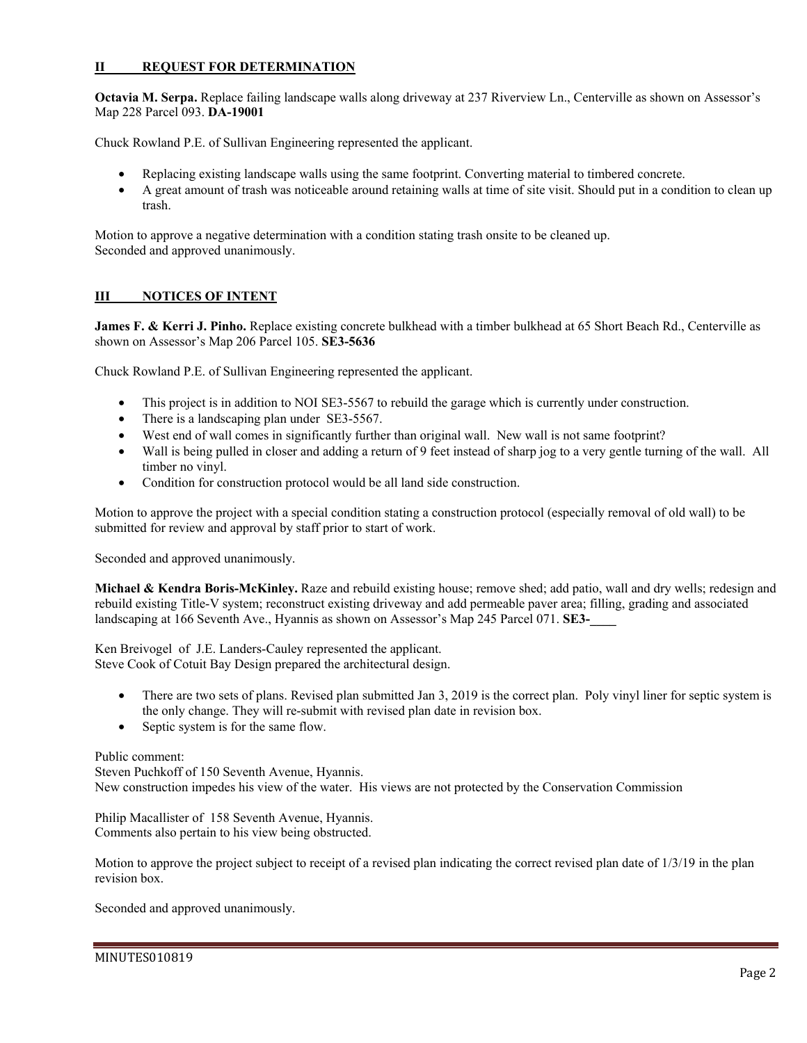## **II REQUEST FOR DETERMINATION**

**Octavia M. Serpa.** Replace failing landscape walls along driveway at 237 Riverview Ln., Centerville as shown on Assessor's Map 228 Parcel 093. **DA-19001** 

Chuck Rowland P.E. of Sullivan Engineering represented the applicant.

- Replacing existing landscape walls using the same footprint. Converting material to timbered concrete.
- A great amount of trash was noticeable around retaining walls at time of site visit. Should put in a condition to clean up trash.

Motion to approve a negative determination with a condition stating trash onsite to be cleaned up. Seconded and approved unanimously.

## **III NOTICES OF INTENT**

**James F. & Kerri J. Pinho.** Replace existing concrete bulkhead with a timber bulkhead at 65 Short Beach Rd., Centerville as shown on Assessor's Map 206 Parcel 105. **SE3-5636** 

Chuck Rowland P.E. of Sullivan Engineering represented the applicant.

- This project is in addition to NOI SE3-5567 to rebuild the garage which is currently under construction.
- There is a landscaping plan under SE3-5567.
- West end of wall comes in significantly further than original wall. New wall is not same footprint?
- Wall is being pulled in closer and adding a return of 9 feet instead of sharp jog to a very gentle turning of the wall. All timber no vinyl.
- Condition for construction protocol would be all land side construction.

Motion to approve the project with a special condition stating a construction protocol (especially removal of old wall) to be submitted for review and approval by staff prior to start of work.

Seconded and approved unanimously.

**Michael & Kendra Boris-McKinley.** Raze and rebuild existing house; remove shed; add patio, wall and dry wells; redesign and rebuild existing Title-V system; reconstruct existing driveway and add permeable paver area; filling, grading and associated landscaping at 166 Seventh Ave., Hyannis as shown on Assessor's Map 245 Parcel 071. **SE3-\_\_\_\_** 

Ken Breivogel of J.E. Landers-Cauley represented the applicant. Steve Cook of Cotuit Bay Design prepared the architectural design.

- There are two sets of plans. Revised plan submitted Jan 3, 2019 is the correct plan. Poly vinyl liner for septic system is the only change. They will re-submit with revised plan date in revision box.
- Septic system is for the same flow.

#### Public comment:

Steven Puchkoff of 150 Seventh Avenue, Hyannis. New construction impedes his view of the water. His views are not protected by the Conservation Commission

Philip Macallister of 158 Seventh Avenue, Hyannis. Comments also pertain to his view being obstructed.

Motion to approve the project subject to receipt of a revised plan indicating the correct revised plan date of 1/3/19 in the plan revision box.

Seconded and approved unanimously.